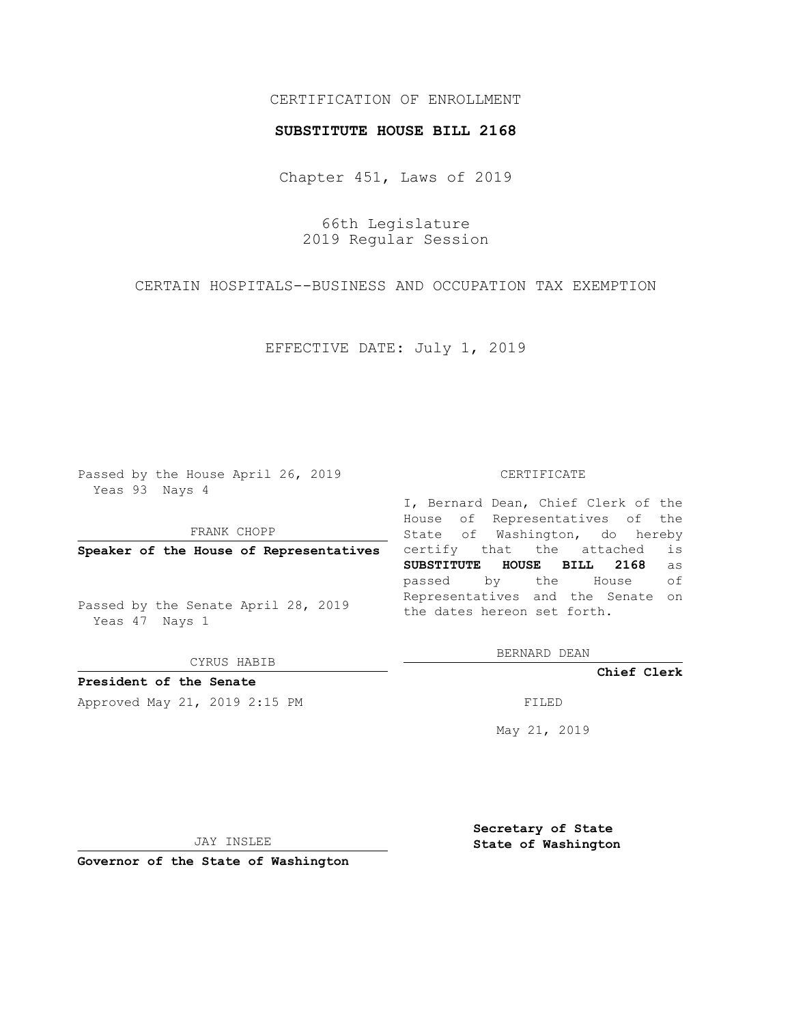# CERTIFICATION OF ENROLLMENT

### **SUBSTITUTE HOUSE BILL 2168**

Chapter 451, Laws of 2019

66th Legislature 2019 Regular Session

CERTAIN HOSPITALS--BUSINESS AND OCCUPATION TAX EXEMPTION

EFFECTIVE DATE: July 1, 2019

Passed by the House April 26, 2019 Yeas 93 Nays 4

FRANK CHOPP

**Speaker of the House of Representatives**

Passed by the Senate April 28, 2019 Yeas 47 Nays 1

CYRUS HABIB

**President of the Senate**

Approved May 21, 2019 2:15 PM

#### CERTIFICATE

I, Bernard Dean, Chief Clerk of the House of Representatives of the State of Washington, do hereby certify that the attached is **SUBSTITUTE HOUSE BILL 2168** as passed by the House of Representatives and the Senate on the dates hereon set forth.

BERNARD DEAN

**Chief Clerk**

May 21, 2019

JAY INSLEE

**Governor of the State of Washington**

**Secretary of State State of Washington**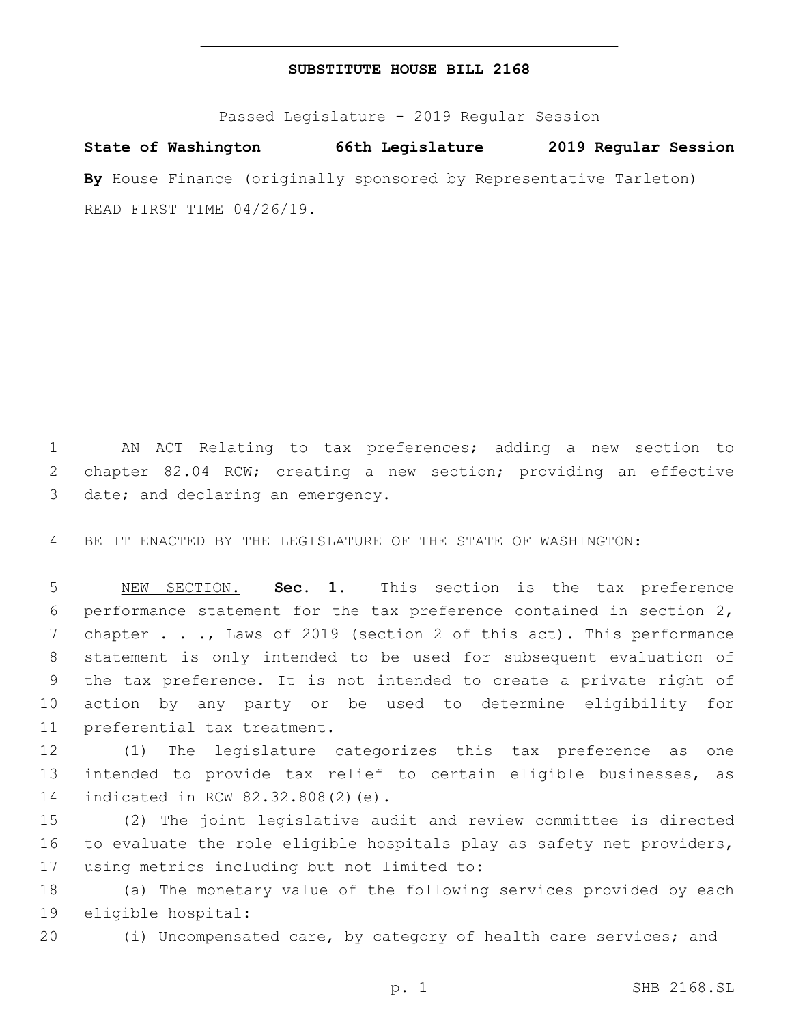# **SUBSTITUTE HOUSE BILL 2168**

Passed Legislature - 2019 Regular Session

**State of Washington 66th Legislature 2019 Regular Session** By House Finance (originally sponsored by Representative Tarleton) READ FIRST TIME 04/26/19.

1 AN ACT Relating to tax preferences; adding a new section to 2 chapter 82.04 RCW; creating a new section; providing an effective 3 date; and declaring an emergency.

4 BE IT ENACTED BY THE LEGISLATURE OF THE STATE OF WASHINGTON:

 NEW SECTION. **Sec. 1.** This section is the tax preference performance statement for the tax preference contained in section 2, 7 chapter . . ., Laws of 2019 (section 2 of this act). This performance statement is only intended to be used for subsequent evaluation of the tax preference. It is not intended to create a private right of action by any party or be used to determine eligibility for preferential tax treatment.

12 (1) The legislature categorizes this tax preference as one 13 intended to provide tax relief to certain eligible businesses, as 14 indicated in RCW 82.32.808(2)(e).

15 (2) The joint legislative audit and review committee is directed 16 to evaluate the role eligible hospitals play as safety net providers, 17 using metrics including but not limited to:

18 (a) The monetary value of the following services provided by each 19 eligible hospital:

20 (i) Uncompensated care, by category of health care services; and